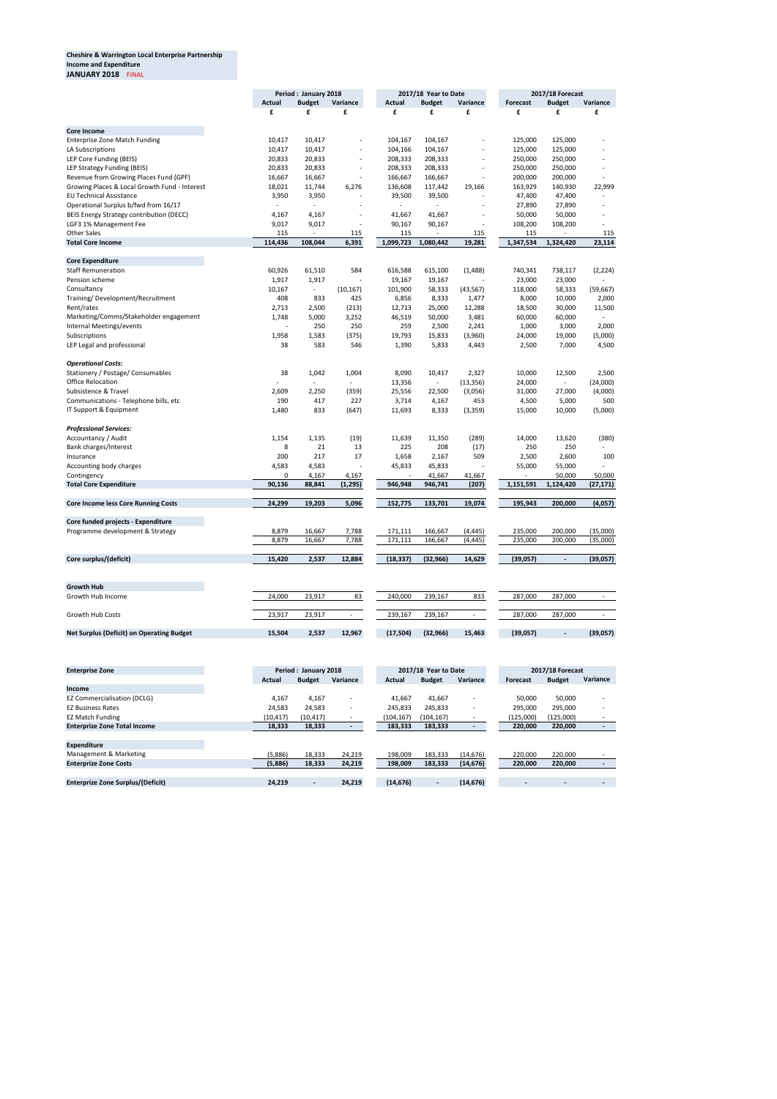## **Cheshire & Warrington Local Enterprise Partnership Income and Expenditure JANUARY 2018** FINAL

|                                                  | Period: January 2018 |                |                          | 2017/18 Year to Date |                |                | 2017/18 Forecast |                |                          |
|--------------------------------------------------|----------------------|----------------|--------------------------|----------------------|----------------|----------------|------------------|----------------|--------------------------|
|                                                  | Actual               | <b>Budget</b>  | Variance                 | Actual               | <b>Budget</b>  | Variance       | Forecast         | <b>Budget</b>  | Variance                 |
|                                                  | £                    | £              | £                        | £                    | £              | £              | £                | £              | £                        |
|                                                  |                      |                |                          |                      |                |                |                  |                |                          |
| <b>Core Income</b>                               |                      |                |                          |                      |                |                |                  |                |                          |
| <b>Enterprise Zone Match Funding</b>             | 10,417               | 10,417         |                          | 104,167              | 104,167        | $\blacksquare$ | 125,000          | 125,000        |                          |
| LA Subscriptions                                 | 10,417               | 10,417         |                          | 104,166              | 104,167        |                | 125,000          | 125,000        |                          |
| LEP Core Funding (BEIS)                          | 20,833               | 20,833         |                          | 208,333              | 208,333        | $\blacksquare$ | 250,000          | 250,000        |                          |
| LEP Strategy Funding (BEIS)                      | 20,833               | 20,833         | $\sim$                   | 208,333              | 208,333        | $\overline{a}$ | 250,000          | 250,000        | $\overline{\phantom{a}}$ |
| Revenue from Growing Places Fund (GPF)           | 16,667               | 16,667         |                          | 166,667              | 166,667        |                | 200,000          | 200,000        |                          |
| Growing Places & Local Growth Fund - Interest    | 18,021               | 11,744         | 6,276                    | 136,608              | 117,442        | 19,166         | 163,929          | 140,930        | 22,999                   |
| <b>EU Technical Assistance</b>                   | 3,950                | 3,950          |                          | 39,500               | 39,500         |                | 47,400           | 47,400         |                          |
| Operational Surplus b/fwd from 16/17             |                      |                |                          |                      |                | $\blacksquare$ | 27,890           | 27,890         | $\blacksquare$           |
| BEIS Energy Strategy contribution (DECC)         | 4,167                | 4,167          |                          | 41,667               | 41,667         |                | 50,000           | 50,000         |                          |
| LGF3 1% Management Fee                           | 9,017                | 9,017          | $\overline{\phantom{a}}$ | 90,167               | 90,167         | $\sim$         | 108,200          | 108,200        |                          |
| <b>Other Sales</b>                               | 115                  |                | 115                      | 115                  | $\blacksquare$ | 115            | 115              |                | 115                      |
| <b>Total Core Income</b>                         | 114,436              | 108,044        | 6,391                    | 1,099,723            | 1,080,442      | 19,281         | 1,347,534        | 1,324,420      | 23,114                   |
|                                                  |                      |                |                          |                      |                |                |                  |                |                          |
| <b>Core Expenditure</b>                          |                      |                |                          |                      |                |                |                  |                |                          |
| <b>Staff Remuneration</b>                        | 60,926               | 61,510         | 584                      | 616,588              | 615,100        | (1,488)        | 740,341          | 738,117        | (2, 224)                 |
| Pension scheme                                   | 1,917                | 1,917          |                          | 19,167               | 19,167         |                | 23,000           | 23,000         | $\blacksquare$           |
| Consultancy                                      | 10,167               | $\blacksquare$ | (10, 167)                | 101,900              | 58,333         | (43, 567)      | 118,000          | 58,333         | (59, 667)                |
| Training/Development/Recruitment                 | 408                  | 833            | 425                      | 6,856                | 8,333          | 1,477          | 8,000            | 10,000         | 2,000                    |
| Rent/rates                                       | 2,713                | 2,500          | (213)                    | 12,713               | 25,000         | 12,288         | 18,500           | 30,000         | 11,500                   |
| Marketing/Comms/Stakeholder engagement           | 1,748                | 5,000          | 3,252                    | 46,519               | 50,000         | 3,481          | 60,000           | 60,000         |                          |
| Internal Meetings/events                         |                      | 250            | 250                      | 259                  | 2,500          | 2,241          | 1,000            | 3,000          | 2,000                    |
| Subscriptions                                    | 1,958                | 1,583          | (375)                    | 19,793               | 15,833         | (3,960)        | 24,000           | 19,000         | (5,000)                  |
| LEP Legal and professional                       | 38                   | 583            | 546                      | 1,390                | 5,833          | 4,443          |                  | 7,000          | 4,500                    |
|                                                  |                      |                |                          |                      |                |                | 2,500            |                |                          |
| <b>Operational Costs:</b>                        |                      |                |                          |                      |                |                |                  |                |                          |
| Stationery / Postage/ Consumables                | 38                   | 1,042          | 1,004                    | 8,090                | 10,417         | 2,327          | 10,000           | 12,500         | 2,500                    |
| <b>Office Relocation</b>                         |                      |                |                          | 13,356               |                | (13, 356)      | 24,000           |                | (24,000)                 |
|                                                  |                      |                |                          |                      |                |                |                  |                |                          |
| Subsistence & Travel                             | 2,609                | 2,250          | (359)                    | 25,556               | 22,500         | (3,056)        | 31,000           | 27,000         | (4,000)                  |
| Communications - Telephone bills, etc            | 190                  | 417            | 227                      | 3,714                | 4,167          | 453            | 4,500            | 5,000          | 500                      |
| IT Support & Equipment                           | 1,480                | 833            | (647)                    | 11,693               | 8,333          | (3, 359)       | 15,000           | 10,000         | (5,000)                  |
| <b>Professional Services:</b>                    |                      |                |                          |                      |                |                |                  |                |                          |
| Accountancy / Audit                              | 1,154                | 1,135          | (19)                     | 11,639               |                | (289)          |                  |                | (380)                    |
|                                                  | 8                    | 21             |                          |                      | 11,350         |                | 14,000           | 13,620         |                          |
| Bank charges/Interest                            |                      |                | 13                       | 225                  | 208            | (17)           | 250              | 250            |                          |
| Insurance                                        | 200                  | 217            | 17                       | 1,658                | 2,167          | 509            | 2,500            | 2,600          | 100                      |
| Accounting body charges                          | 4,583                | 4,583          |                          | 45,833               | 45,833         | Ē,             | 55,000           | 55,000         |                          |
| Contingency                                      | 0                    | 4,167          | 4,167                    | ۰.                   | 41,667         | 41,667         | $\blacksquare$   | 50,000         | 50,000                   |
| <b>Total Core Expenditure</b>                    | 90,136               | 88,841         | (1, 295)                 | 946,948              | 946,741        | (207)          | 1,151,591        | 1,124,420      | (27, 171)                |
| <b>Core Income less Core Running Costs</b>       | 24,299               | 19,203         | 5,096                    | 152,775              | 133,701        | 19,074         | 195,943          | 200,000        | (4,057)                  |
|                                                  |                      |                |                          |                      |                |                |                  |                |                          |
| Core funded projects - Expenditure               |                      |                |                          |                      |                |                |                  |                |                          |
| Programme development & Strategy                 | 8,879                | 16,667         | 7,788                    | 171,111              | 166,667        | (4,445)        | 235,000          | 200,000        | (35,000)                 |
|                                                  | 8,879                | 16,667         | 7,788                    | 171,111              | 166,667        | (4,445)        | 235,000          | 200,000        | (35,000)                 |
|                                                  |                      |                |                          |                      |                |                |                  |                |                          |
| Core surplus/(deficit)                           | 15,420               | 2,537          | 12,884                   | (18, 337)            | (32, 966)      | 14,629         | (39,057)         | $\blacksquare$ | (39,057)                 |
|                                                  |                      |                |                          |                      |                |                |                  |                |                          |
|                                                  |                      |                |                          |                      |                |                |                  |                |                          |
| <b>Growth Hub</b>                                |                      |                |                          |                      |                |                |                  |                |                          |
| Growth Hub Income                                | 24,000               | 23,917         | 83                       | 240,000              | 239,167        | 833            | 287,000          | 287,000        | $\blacksquare$           |
|                                                  |                      |                |                          |                      |                |                |                  |                |                          |
| Growth Hub Costs                                 | 23,917               | 23,917         | $\sim$                   | 239,167              | 239,167        | $\blacksquare$ | 287,000          | 287,000        | $\sim$                   |
| <b>Net Surplus (Deficit) on Operating Budget</b> | 15,504               | 2,537          | 12,967                   | (17, 504)            | (32, 966)      | 15,463         | (39,057)         | $\blacksquare$ | (39,057)                 |

| <b>Enterprise Zone</b>              | Period: January 2018 |               | 2017/18 Year to Date     |               |               | <b>2017/18 Forecast</b>  |           |  |               |                |
|-------------------------------------|----------------------|---------------|--------------------------|---------------|---------------|--------------------------|-----------|--|---------------|----------------|
|                                     | Actual               | <b>Budget</b> | Variance                 | <b>Actual</b> | <b>Budget</b> | Variance                 | Forecast  |  | <b>Budget</b> | Variance       |
| Income                              |                      |               |                          |               |               |                          |           |  |               |                |
| <b>EZ Commercialisation (DCLG)</b>  | 4,167                | 4,167         | $\overline{\phantom{a}}$ | 41,667        | 41,667        | -                        | 50,000    |  | 50,000        |                |
| <b>EZ Business Rates</b>            | 24,583               | 24,583        | $\overline{\phantom{a}}$ | 245,833       | 245,833       | $\overline{\phantom{a}}$ | 295,000   |  | 295,000       |                |
| <b>EZ Match Funding</b>             | (10, 417)            | (10, 417)     | -                        | (104, 167)    | (104, 167)    |                          | (125,000) |  | (125,000)     |                |
| <b>Enterprize Zone Total Income</b> | 18,333               | 18,333        |                          | 183,333       | 183,333       |                          | 220,000   |  | 220,000       | $\blacksquare$ |
|                                     |                      |               |                          |               |               |                          |           |  |               |                |
| <b>Expenditure</b>                  |                      |               |                          |               |               |                          |           |  |               |                |
| Management & Marketing              | (5,886)              | 18,333        | 24,219                   | 198.009       | 183,333       | (14, 676)                | 220.000   |  | 220.000       |                |
| <b>Enterprize Zone Costs</b>        | (5,886)              | 18,333        | 24,219                   | 198,009       | 183,333       | (14, 676)                | 220,000   |  | 220,000       |                |
|                                     |                      |               |                          |               |               |                          |           |  |               |                |
| Enterprize Zone Surplus/(Deficit)   | 24.219               | $\sim$        | 24.219                   | (14, 676)     | $\sim$        | (14, 676)                |           |  | -             | -              |